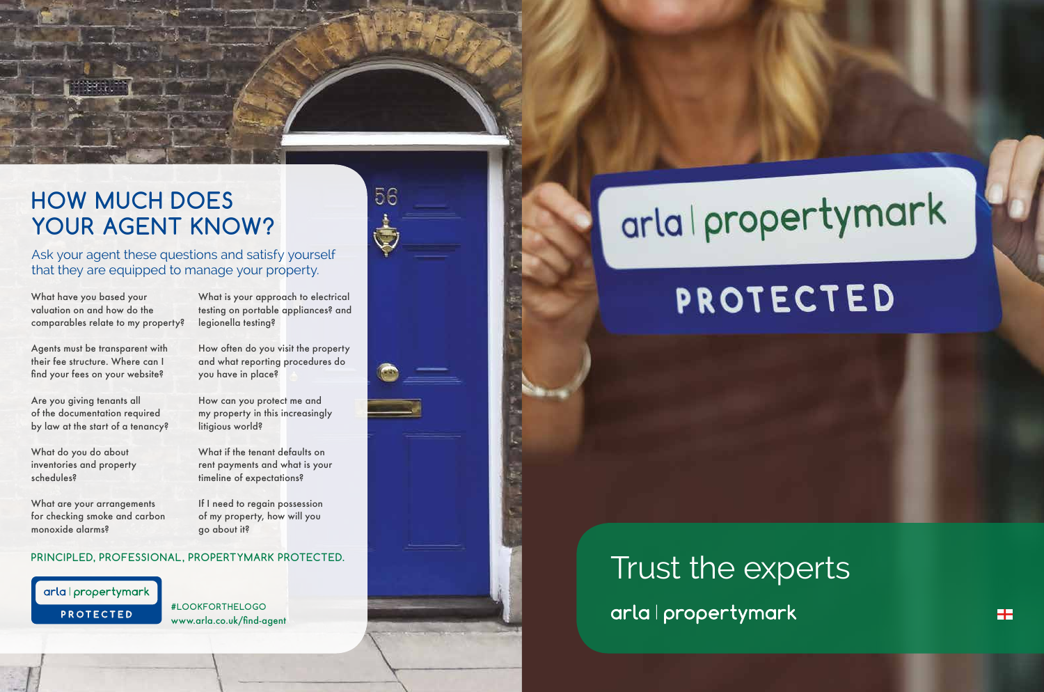### **HOW MUCH DOES YOUR AGENT KNOW?**

Ask your agent these questions and satisfy yourself that they are equipped to manage your property.

What have you based your valuation on and how do the comparables relate to my property?

Agents must be transparent with their fee structure. Where can I find your fees on your website?

Are you giving tenants all of the documentation required by law at the start of a tenancy?

How can you protect me and my property in this increasingly litigious world?

What do you do about inventories and property schedules?

What are your arrangements for checking smoke and carbon monoxide alarms?

### Trust the expertsarla | propertymark











What is your approach to electrical testing on portable appliances? and legionella testing?

How often do you visit the property and what reporting procedures do you have in place?

What if the tenant defaults on rent payments and what is your timeline of expectations?

If I need to regain possession of my property, how will you go about it?

#### **PRINCIPLED, PROFESSIONAL, PROPERTYMARK PROTECTED.**

#### arla | propertymark

**PROTECTED** 

**#LOOKFORTHELOGO** www.arla.co.uk/find-agent



# arla | propertymark

## **PROTECTED**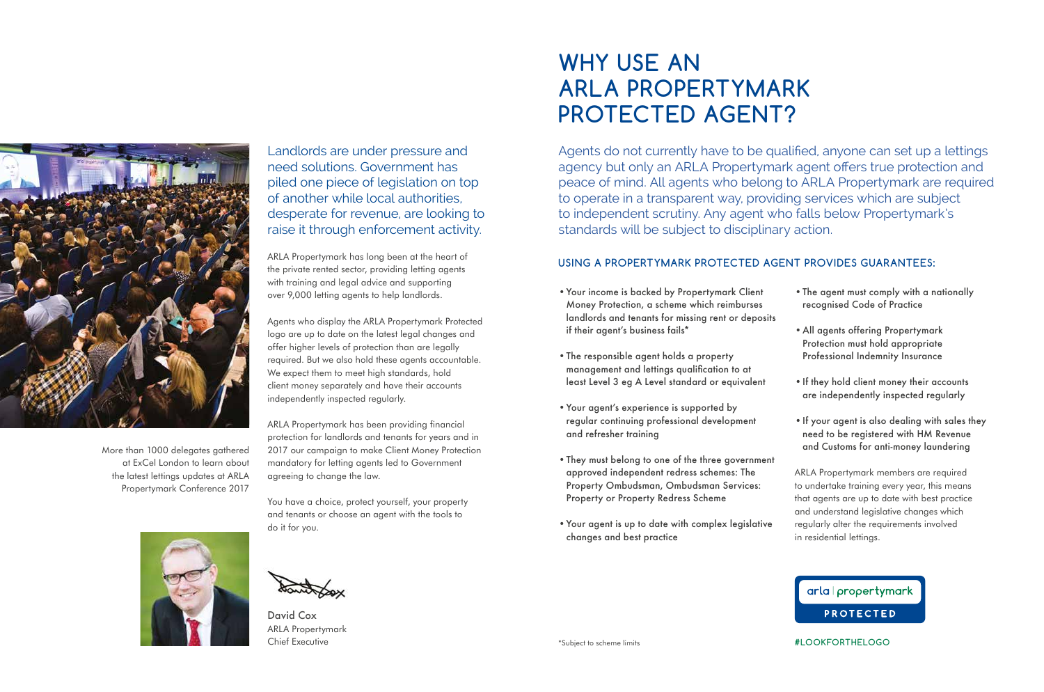David Cox ARLA Propertymark Chief Executive

Agents do not currently have to be qualified, anyone can set up a lettings agency but only an ARLA Propertymark agent offers true protection and peace of mind. All agents who belong to ARLA Propertymark are required to operate in a transparent way, providing services which are subject to independent scrutiny. Any agent who falls below Propertymark's standards will be subject to disciplinary action.

#### **USING A PROPERTYMARK PROTECTED AGENT PROVIDES GUARANTEES:**

- •Your income is backed by Propertymark Client Money Protection, a scheme which reimburses landlords and tenants for missing rent or deposits if their agent's business fails\*
- •The responsible agent holds a property management and lettings qualification to at least Level 3 eg A Level standard or equivalent
- •Your agent's experience is supported by regular continuing professional development and refresher training
- •They must belong to one of the three government approved independent redress schemes: The Property Ombudsman, Ombudsman Services: Property or Property Redress Scheme
- •Your agent is up to date with complex legislative changes and best practice



- 
- 
- 
- 



•The agent must comply with a nationally recognised Code of Practice

•All agents offering Propertymark Protection must hold appropriate Professional Indemnity Insurance

•If they hold client money their accounts are independently inspected regularly

•If your agent is also dealing with sales they need to be registered with HM Revenue and Customs for anti-money laundering

ARLA Propertymark members are required to undertake training every year, this means that agents are up to date with best practice and understand legislative changes which regularly alter the requirements involved in residential lettings.

#### arla | propertymark **PROTECTED**

### **WHY USE AN ARLA PROPERTYMARK PROTECTED AGENT?**

**#LOOKFORTHELOGO**

Landlords are under pressure and need solutions. Government has piled one piece of legislation on top of another while local authorities, desperate for revenue, are looking to raise it through enforcement activity.

ARLA Propertymark has long been at the heart of the private rented sector, providing letting agents with training and legal advice and supporting over 9,000 letting agents to help landlords.

Agents who display the ARLA Propertymark Protected logo are up to date on the latest legal changes and offer higher levels of protection than are legally required. But we also hold these agents accountable. We expect them to meet high standards, hold client money separately and have their accounts independently inspected regularly.

ARLA Propertymark has been providing financial protection for landlords and tenants for years and in 2017 our campaign to make Client Money Protection mandatory for letting agents led to Government agreeing to change the law.

You have a choice, protect yourself, your property and tenants or choose an agent with the tools to do it for you.





More than 1000 delegates gathered at ExCel London to learn about the latest lettings updates at ARLA Propertymark Conference 2017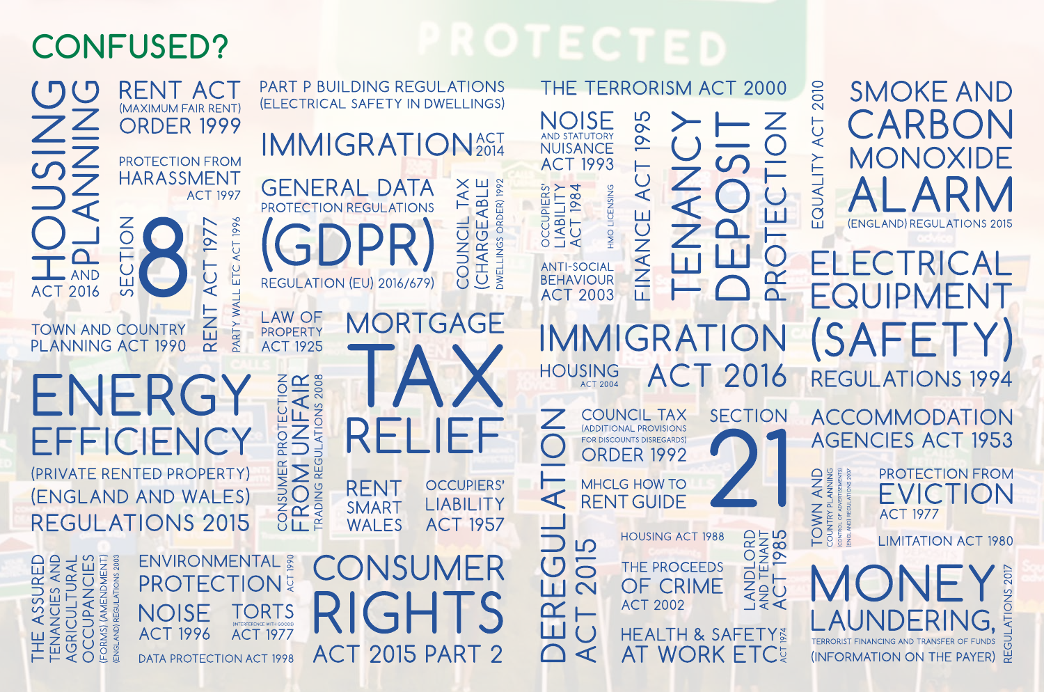## **CONFUSED?**

THE TERRORISM ACT 2000 **RENT ACT** (ELECTRICAL SAFETY IN DWELLINGS) (MAXIMUM FAIR RENT) **NOISE ORDER 1999** AND STATUTORY IMMIGRATION<sup>ACT</sup> **PROTECTION FROM ACT 1993** HARASSMENT **ABLE GENERAL DATA** TAX **ORDER) 1992** OCCUPIERS'<br>LIABILITY<br>ACT 1984 HMO LICENSING **ACT 1997** PROTECTION REGULATIONS 1996 COUNCIL  $\sum_{i=1}^{n}$ ш 197 (CHARG **DWELLINGS** ACT ETC. **ANTI-SOCIAL**  $\dot{\cup}$ **BEHAVIOUR**  $\overline{\mathbf{u}}$ **REGULATION (EU) 2016/679) ACT 2016**  $\overline{\overline{\smash{G}}}$ **ACT 2003** WAI ⊢ **LAW OF** MORTGAGE —<br>ЕN PARTY **TOWN AND COUNTRY** PROPERTY PLANNING ACT 1990 **ACT 1925**  $\alpha$ HOUSING PROTECTION<br>UNFAIR<br>JLATIONS 2008 **FNFRG** Z PROTE FFFICIENC CONSUMER PE<br>FROM L (PRIVATE RENTED PROPERTY) **OCCUPIERS' RENT** (ENGLAND AND WALES)  $\blacktriangleleft$ LIABILITY SMART **REGULATIONS 2015 WALES ACT 1957**  $\Box$ 

**PART P BUILDING REGULATIONS** 

THE ASSURED<br>TENANCIES AND<br>AGRICULTURAL<br>OCCUPANCIES<br>(FORMS) (AMENDMENT)

**ENVIRONMENTAL & PROTECTION TORTS NOISE ACT 1996 ACT 1977 DATA PROTECTION ACT 1998** 

ONSUMER 2015 PART 2  $AC<sub>1</sub>$ 

56  $\overline{Q}$  $\dot{\cup}$  $\overline{\mathcal{X}}$  $\overline{\mathbf{A}}$ FINANCE 7  $\mathbf{r}$  $\bigcirc$ ĪΤ **PR** IMMIGRAT ON 2016  $A$ **COUNCIL TAX SECTION** (ADDITIONAL PROVISIONS FOR DISCOUNTS DISREGARDS **ORDER 1992 MHCLG HOW TO RENT GUIDE** LANDLORD<br>AND TENANT<br>ACT 1985 **HOUSING ACT 1988 LO**  $\overline{C}$  $\overline{O}$ THE PROCEEDS OF CRIME Ш  $\overline{\mathsf{C}}$ 

**ACT 2002** 

**HEALTH & SAFETY &** 

**AT WORK ETC<sup>5</sup>** 

 $\bm{\alpha}$ 

Ш

 $\bigcap$ 

⊢

 $\bigcup$ 

 $\blacktriangleleft$ 

## **SMOKE AND ARB** MONOXIDE (ENGLAND) REGULATIONS 2015

2010

ACT

EQUALITY

AND<br>ANNING<br>ERTISEMENTS)

TOWN A<br>COUNTRY PLA<br>COUNTRY PLA<br>CONTROL OF ADVER

### TRIC FQUIPMENT **ISAFFT REGULATIONS 1994**

**ACCOMMODATION AGENCIES ACT 1953** 

> **PROTECTION FROM** EVICTI ON **ACT 1977**

**LIMITATION ACT 1980**